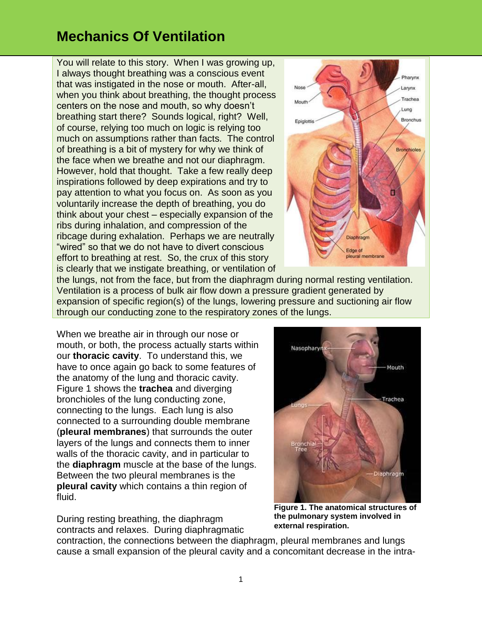You will relate to this story. When I was growing up, I always thought breathing was a conscious event that was instigated in the nose or mouth. After-all, when you think about breathing, the thought process centers on the nose and mouth, so why doesn't breathing start there? Sounds logical, right? Well, of course, relying too much on logic is relying too much on assumptions rather than facts. The control of breathing is a bit of mystery for why we think of the face when we breathe and not our diaphragm. However, hold that thought. Take a few really deep inspirations followed by deep expirations and try to pay attention to what you focus on. As soon as you voluntarily increase the depth of breathing, you do think about your chest – especially expansion of the ribs during inhalation, and compression of the ribcage during exhalation. Perhaps we are neutrally "wired" so that we do not have to divert conscious effort to breathing at rest. So, the crux of this story is clearly that we instigate breathing, or ventilation of



the lungs, not from the face, but from the diaphragm during normal resting ventilation. Ventilation is a process of bulk air flow down a pressure gradient generated by expansion of specific region(s) of the lungs, lowering pressure and suctioning air flow through our conducting zone to the respiratory zones of the lungs.

When we breathe air in through our nose or mouth, or both, the process actually starts within our **thoracic cavity**. To understand this, we have to once again go back to some features of the anatomy of the lung and thoracic cavity. Figure 1 shows the **trachea** and diverging bronchioles of the lung conducting zone, connecting to the lungs. Each lung is also connected to a surrounding double membrane (**pleural membranes**) that surrounds the outer layers of the lungs and connects them to inner walls of the thoracic cavity, and in particular to the **diaphragm** muscle at the base of the lungs. Between the two pleural membranes is the **pleural cavity** which contains a thin region of fluid.

During resting breathing, the diaphragm contracts and relaxes. During diaphragmatic



**Figure 1. The anatomical structures of the pulmonary system involved in external respiration.**

contraction, the connections between the diaphragm, pleural membranes and lungs cause a small expansion of the pleural cavity and a concomitant decrease in the intra-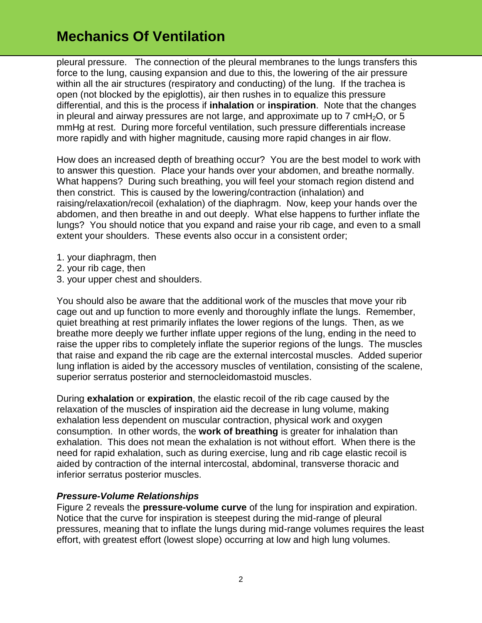pleural pressure. The connection of the pleural membranes to the lungs transfers this force to the lung, causing expansion and due to this, the lowering of the air pressure within all the air structures (respiratory and conducting) of the lung. If the trachea is open (not blocked by the epiglottis), air then rushes in to equalize this pressure differential, and this is the process if **inhalation** or **inspiration**. Note that the changes in pleural and airway pressures are not large, and approximate up to 7 cmH<sub>2</sub>O, or 5 mmHg at rest. During more forceful ventilation, such pressure differentials increase more rapidly and with higher magnitude, causing more rapid changes in air flow.

How does an increased depth of breathing occur? You are the best model to work with to answer this question. Place your hands over your abdomen, and breathe normally. What happens? During such breathing, you will feel your stomach region distend and then constrict. This is caused by the lowering/contraction (inhalation) and raising/relaxation/recoil (exhalation) of the diaphragm. Now, keep your hands over the abdomen, and then breathe in and out deeply. What else happens to further inflate the lungs? You should notice that you expand and raise your rib cage, and even to a small extent your shoulders. These events also occur in a consistent order;

- 1. your diaphragm, then
- 2. your rib cage, then
- 3. your upper chest and shoulders.

You should also be aware that the additional work of the muscles that move your rib cage out and up function to more evenly and thoroughly inflate the lungs. Remember, quiet breathing at rest primarily inflates the lower regions of the lungs. Then, as we breathe more deeply we further inflate upper regions of the lung, ending in the need to raise the upper ribs to completely inflate the superior regions of the lungs. The muscles that raise and expand the rib cage are the external intercostal muscles. Added superior lung inflation is aided by the accessory muscles of ventilation, consisting of the scalene, superior serratus posterior and sternocleidomastoid muscles.

During **exhalation** or **expiration**, the elastic recoil of the rib cage caused by the relaxation of the muscles of inspiration aid the decrease in lung volume, making exhalation less dependent on muscular contraction, physical work and oxygen consumption. In other words, the **work of breathing** is greater for inhalation than exhalation. This does not mean the exhalation is not without effort. When there is the need for rapid exhalation, such as during exercise, lung and rib cage elastic recoil is aided by contraction of the internal intercostal, abdominal, transverse thoracic and inferior serratus posterior muscles.

#### *Pressure-Volume Relationships*

Figure 2 reveals the **pressure-volume curve** of the lung for inspiration and expiration. Notice that the curve for inspiration is steepest during the mid-range of pleural pressures, meaning that to inflate the lungs during mid-range volumes requires the least effort, with greatest effort (lowest slope) occurring at low and high lung volumes.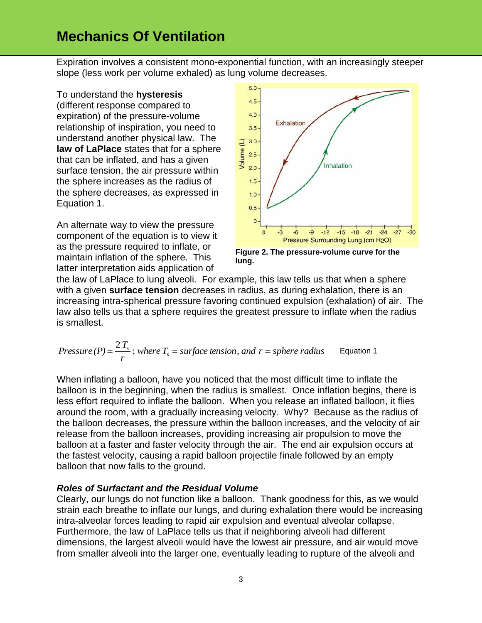Expiration involves a consistent mono-exponential function, with an increasingly steeper slope (less work per volume exhaled) as lung volume decreases.

To understand the **hysteresis** (different response compared to expiration) of the pressure-volume relationship of inspiration, you need to understand another physical law. The **law of LaPlace** states that for a sphere that can be inflated, and has a given surface tension, the air pressure within the sphere increases as the radius of the sphere decreases, as expressed in Equation 1.

An alternate way to view the pressure component of the equation is to view it as the pressure required to inflate, or maintain inflation of the sphere. This latter interpretation aids application of



**Figure 2. The pressure-volume curve for the lung.**

the law of LaPlace to lung alveoli. For example, this law tells us that when a sphere with a given **surface tension** decreases in radius, as during exhalation, there is an increasing intra-spherical pressure favoring continued expulsion (exhalation) of air. The law also tells us that a sphere requires the greatest pressure to inflate when the radius is smallest.

*Pressure* (*P*) = 
$$
\frac{2T_s}{r}
$$
; *where*  $T_s$  = *surface tension*, *and*  $r$  = *sphere radius* Equation 1

When inflating a balloon, have you noticed that the most difficult time to inflate the balloon is in the beginning, when the radius is smallest. Once inflation begins, there is less effort required to inflate the balloon. When you release an inflated balloon, it flies around the room, with a gradually increasing velocity. Why? Because as the radius of the balloon decreases, the pressure within the balloon increases, and the velocity of air release from the balloon increases, providing increasing air propulsion to move the balloon at a faster and faster velocity through the air. The end air expulsion occurs at the fastest velocity, causing a rapid balloon projectile finale followed by an empty balloon that now falls to the ground.

### *Roles of Surfactant and the Residual Volume*

Clearly, our lungs do not function like a balloon. Thank goodness for this, as we would strain each breathe to inflate our lungs, and during exhalation there would be increasing intra-alveolar forces leading to rapid air expulsion and eventual alveolar collapse. Furthermore, the law of LaPlace tells us that if neighboring alveoli had different dimensions, the largest alveoli would have the lowest air pressure, and air would move from smaller alveoli into the larger one, eventually leading to rupture of the alveoli and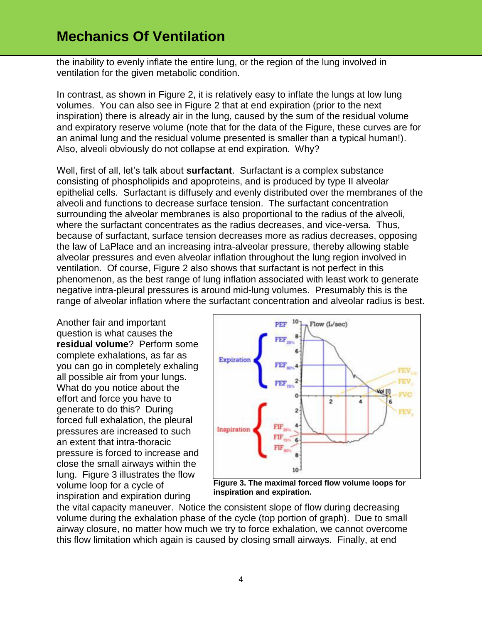the inability to evenly inflate the entire lung, or the region of the lung involved in ventilation for the given metabolic condition.

In contrast, as shown in Figure 2, it is relatively easy to inflate the lungs at low lung volumes. You can also see in Figure 2 that at end expiration (prior to the next inspiration) there is already air in the lung, caused by the sum of the residual volume and expiratory reserve volume (note that for the data of the Figure, these curves are for an animal lung and the residual volume presented is smaller than a typical human!). Also, alveoli obviously do not collapse at end expiration. Why?

Well, first of all, let's talk about **surfactant**. Surfactant is a complex substance consisting of phospholipids and apoproteins, and is produced by type II alveolar epithelial cells. Surfactant is diffusely and evenly distributed over the membranes of the alveoli and functions to decrease surface tension. The surfactant concentration surrounding the alveolar membranes is also proportional to the radius of the alveoli, where the surfactant concentrates as the radius decreases, and vice-versa. Thus, because of surfactant, surface tension decreases more as radius decreases, opposing the law of LaPlace and an increasing intra-alveolar pressure, thereby allowing stable alveolar pressures and even alveolar inflation throughout the lung region involved in ventilation. Of course, Figure 2 also shows that surfactant is not perfect in this phenomenon, as the best range of lung inflation associated with least work to generate negative intra-pleural pressures is around mid-lung volumes. Presumably this is the range of alveolar inflation where the surfactant concentration and alveolar radius is best.

Another fair and important question is what causes the **residual volume**? Perform some complete exhalations, as far as you can go in completely exhaling all possible air from your lungs. What do you notice about the effort and force you have to generate to do this? During forced full exhalation, the pleural pressures are increased to such an extent that intra-thoracic pressure is forced to increase and close the small airways within the lung. Figure 3 illustrates the flow volume loop for a cycle of inspiration and expiration during



**Figure 3. The maximal forced flow volume loops for inspiration and expiration.**

the vital capacity maneuver. Notice the consistent slope of flow during decreasing volume during the exhalation phase of the cycle (top portion of graph). Due to small airway closure, no matter how much we try to force exhalation, we cannot overcome this flow limitation which again is caused by closing small airways. Finally, at end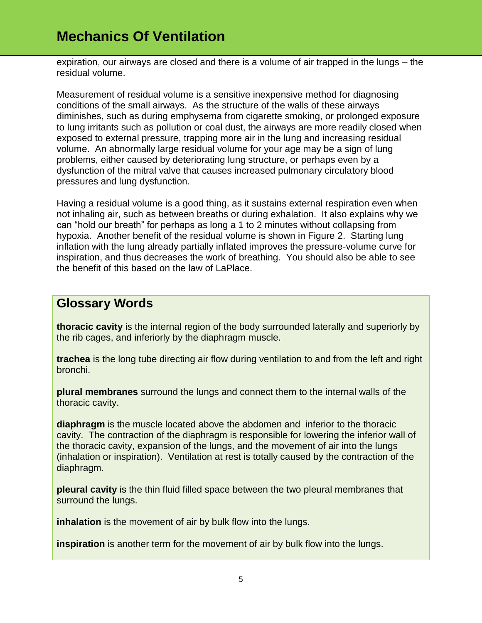expiration, our airways are closed and there is a volume of air trapped in the lungs – the residual volume.

Measurement of residual volume is a sensitive inexpensive method for diagnosing conditions of the small airways. As the structure of the walls of these airways diminishes, such as during emphysema from cigarette smoking, or prolonged exposure to lung irritants such as pollution or coal dust, the airways are more readily closed when exposed to external pressure, trapping more air in the lung and increasing residual volume. An abnormally large residual volume for your age may be a sign of lung problems, either caused by deteriorating lung structure, or perhaps even by a dysfunction of the mitral valve that causes increased pulmonary circulatory blood pressures and lung dysfunction.

Having a residual volume is a good thing, as it sustains external respiration even when not inhaling air, such as between breaths or during exhalation. It also explains why we can "hold our breath" for perhaps as long a 1 to 2 minutes without collapsing from hypoxia. Another benefit of the residual volume is shown in Figure 2. Starting lung inflation with the lung already partially inflated improves the pressure-volume curve for inspiration, and thus decreases the work of breathing. You should also be able to see the benefit of this based on the law of LaPlace.

### **Glossary Words**

**thoracic cavity** is the internal region of the body surrounded laterally and superiorly by the rib cages, and inferiorly by the diaphragm muscle.

**trachea** is the long tube directing air flow during ventilation to and from the left and right bronchi.

**plural membranes** surround the lungs and connect them to the internal walls of the thoracic cavity.

**diaphragm** is the muscle located above the abdomen and inferior to the thoracic cavity. The contraction of the diaphragm is responsible for lowering the inferior wall of the thoracic cavity, expansion of the lungs, and the movement of air into the lungs (inhalation or inspiration). Ventilation at rest is totally caused by the contraction of the diaphragm.

**pleural cavity** is the thin fluid filled space between the two pleural membranes that surround the lungs.

**inhalation** is the movement of air by bulk flow into the lungs.

**inspiration** is another term for the movement of air by bulk flow into the lungs.